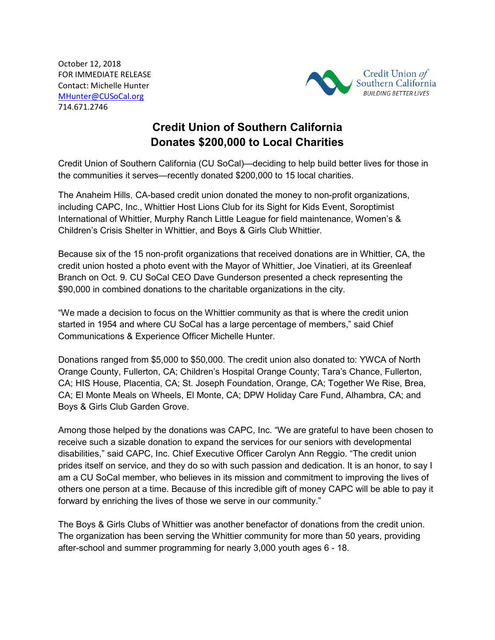October 12, 2018 FOR IMMEDIATE RELEASE Contact: Michelle Hunter [MHunter@CUSoCal.org](mailto:MHunter@CUSoCal.org) 714.671.2746



## **Credit Union of Southern California Donates \$200,000 to Local Charities**

Credit Union of Southern California (CU SoCal)—deciding to help build better lives for those in the communities it serves—recently donated \$200,000 to 15 local charities.

The Anaheim Hills, CA-based credit union donated the money to non-profit organizations, including CAPC, Inc., Whittier Host Lions Club for its Sight for Kids Event, Soroptimist International of Whittier, Murphy Ranch Little League for field maintenance, Women's & Children's Crisis Shelter in Whittier, and Boys & Girls Club Whittier.

Because six of the 15 non-profit organizations that received donations are in Whittier, CA, the credit union hosted a photo event with the Mayor of Whittier, Joe Vinatieri, at its Greenleaf Branch on Oct. 9. CU SoCal CEO Dave Gunderson presented a check representing the \$90,000 in combined donations to the charitable organizations in the city.

"We made a decision to focus on the Whittier community as that is where the credit union started in 1954 and where CU SoCal has a large percentage of members," said Chief Communications & Experience Officer Michelle Hunter.

Donations ranged from \$5,000 to \$50,000. The credit union also donated to: YWCA of North Orange County, Fullerton, CA; Children's Hospital Orange County; Tara's Chance, Fullerton, CA; HIS House, Placentia, CA; St. Joseph Foundation, Orange, CA; Together We Rise, Brea, CA; El Monte Meals on Wheels, El Monte, CA; DPW Holiday Care Fund, Alhambra, CA; and Boys & Girls Club Garden Grove.

Among those helped by the donations was CAPC, Inc. "We are grateful to have been chosen to receive such a sizable donation to expand the services for our seniors with developmental disabilities," said CAPC, Inc. Chief Executive Officer Carolyn Ann Reggio. "The credit union prides itself on service, and they do so with such passion and dedication. It is an honor, to say I am a CU SoCal member, who believes in its mission and commitment to improving the lives of others one person at a time. Because of this incredible gift of money CAPC will be able to pay it forward by enriching the lives of those we serve in our community."

The Boys & Girls Clubs of Whittier was another benefactor of donations from the credit union. The organization has been serving the Whittier community for more than 50 years, providing after-school and summer programming for nearly 3,000 youth ages 6 - 18.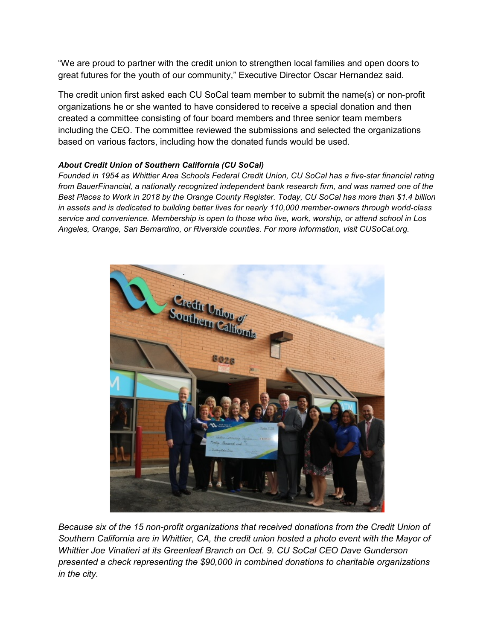"We are proud to partner with the credit union to strengthen local families and open doors to great futures for the youth of our community," Executive Director Oscar Hernandez said.

The credit union first asked each CU SoCal team member to submit the name(s) or non-profit organizations he or she wanted to have considered to receive a special donation and then created a committee consisting of four board members and three senior team members including the CEO. The committee reviewed the submissions and selected the organizations based on various factors, including how the donated funds would be used.

## *About Credit Union of Southern California (CU SoCal)*

*Founded in 1954 as Whittier Area Schools Federal Credit Union, CU SoCal has a five-star financial rating from BauerFinancial, a nationally recognized independent bank research firm, and was named one of the Best Places to Work in 2018 by the Orange County Register. Today, CU SoCal has more than \$1.4 billion in assets and is dedicated to building better lives for nearly 110,000 member-owners through world-class service and convenience. Membership is open to those who live, work, worship, or attend school in Los Angeles, Orange, San Bernardino, or Riverside counties. For more information, visit CUSoCal.org.*



*Because six of the 15 non-profit organizations that received donations from the Credit Union of Southern California are in Whittier, CA, the credit union hosted a photo event with the Mayor of Whittier Joe Vinatieri at its Greenleaf Branch on Oct. 9. CU SoCal CEO Dave Gunderson presented a check representing the \$90,000 in combined donations to charitable organizations in the city.*